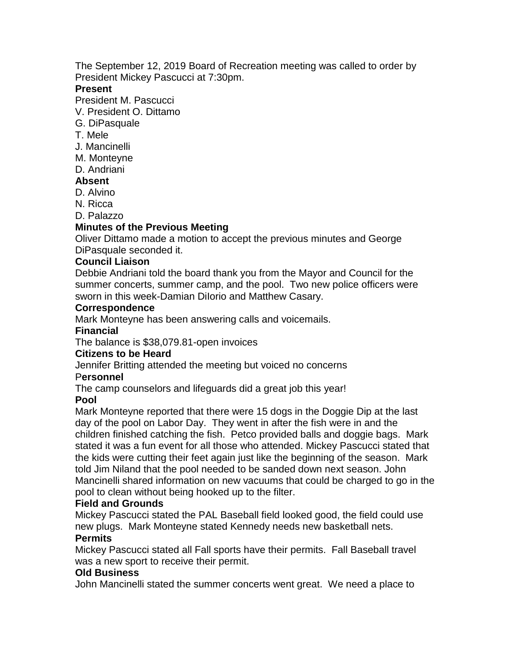The September 12, 2019 Board of Recreation meeting was called to order by President Mickey Pascucci at 7:30pm.

### **Present**

President M. Pascucci

V. President O. Dittamo

- G. DiPasquale
- T. Mele
- J. Mancinelli
- M. Monteyne
- D. Andriani

# **Absent**

- D. Alvino
- N. Ricca
- D. Palazzo

# **Minutes of the Previous Meeting**

Oliver Dittamo made a motion to accept the previous minutes and George DiPasquale seconded it.

### **Council Liaison**

Debbie Andriani told the board thank you from the Mayor and Council for the summer concerts, summer camp, and the pool. Two new police officers were sworn in this week-Damian DiIorio and Matthew Casary.

#### **Correspondence**

Mark Monteyne has been answering calls and voicemails.

### **Financial**

The balance is \$38,079.81-open invoices

# **Citizens to be Heard**

Jennifer Britting attended the meeting but voiced no concerns

#### P**ersonnel**

The camp counselors and lifeguards did a great job this year!

#### **Pool**

Mark Monteyne reported that there were 15 dogs in the Doggie Dip at the last day of the pool on Labor Day. They went in after the fish were in and the children finished catching the fish. Petco provided balls and doggie bags. Mark stated it was a fun event for all those who attended. Mickey Pascucci stated that the kids were cutting their feet again just like the beginning of the season. Mark told Jim Niland that the pool needed to be sanded down next season. John Mancinelli shared information on new vacuums that could be charged to go in the pool to clean without being hooked up to the filter.

#### **Field and Grounds**

Mickey Pascucci stated the PAL Baseball field looked good, the field could use new plugs. Mark Monteyne stated Kennedy needs new basketball nets. **Permits**

### Mickey Pascucci stated all Fall sports have their permits. Fall Baseball travel was a new sport to receive their permit.

# **Old Business**

John Mancinelli stated the summer concerts went great. We need a place to